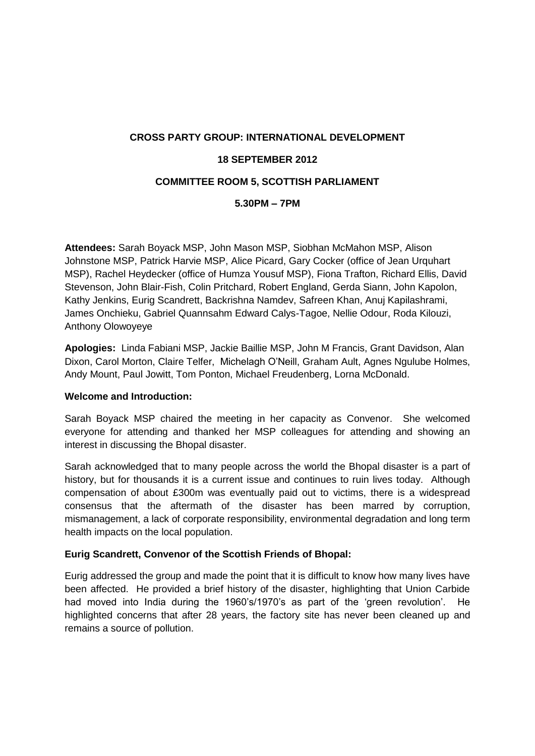# **CROSS PARTY GROUP: INTERNATIONAL DEVELOPMENT 18 SEPTEMBER 2012 COMMITTEE ROOM 5, SCOTTISH PARLIAMENT**

## **5.30PM – 7PM**

**Attendees:** Sarah Boyack MSP, John Mason MSP, Siobhan McMahon MSP, Alison Johnstone MSP, Patrick Harvie MSP, Alice Picard, Gary Cocker (office of Jean Urquhart MSP), Rachel Heydecker (office of Humza Yousuf MSP), Fiona Trafton, Richard Ellis, David Stevenson, John Blair-Fish, Colin Pritchard, Robert England, Gerda Siann, John Kapolon, Kathy Jenkins, Eurig Scandrett, Backrishna Namdev, Safreen Khan, Anuj Kapilashrami, James Onchieku, Gabriel Quannsahm Edward Calys-Tagoe, Nellie Odour, Roda Kilouzi, Anthony Olowoyeye

**Apologies:** Linda Fabiani MSP, Jackie Baillie MSP, John M Francis, Grant Davidson, Alan Dixon, Carol Morton, Claire Telfer, Michelagh O'Neill, Graham Ault, Agnes Ngulube Holmes, Andy Mount, Paul Jowitt, Tom Ponton, Michael Freudenberg, Lorna McDonald.

#### **Welcome and Introduction:**

Sarah Boyack MSP chaired the meeting in her capacity as Convenor. She welcomed everyone for attending and thanked her MSP colleagues for attending and showing an interest in discussing the Bhopal disaster.

Sarah acknowledged that to many people across the world the Bhopal disaster is a part of history, but for thousands it is a current issue and continues to ruin lives today. Although compensation of about £300m was eventually paid out to victims, there is a widespread consensus that the aftermath of the disaster has been marred by corruption, mismanagement, a lack of corporate responsibility, environmental degradation and long term health impacts on the local population.

#### **Eurig Scandrett, Convenor of the Scottish Friends of Bhopal:**

Eurig addressed the group and made the point that it is difficult to know how many lives have been affected. He provided a brief history of the disaster, highlighting that Union Carbide had moved into India during the 1960's/1970's as part of the 'green revolution'. He highlighted concerns that after 28 years, the factory site has never been cleaned up and remains a source of pollution.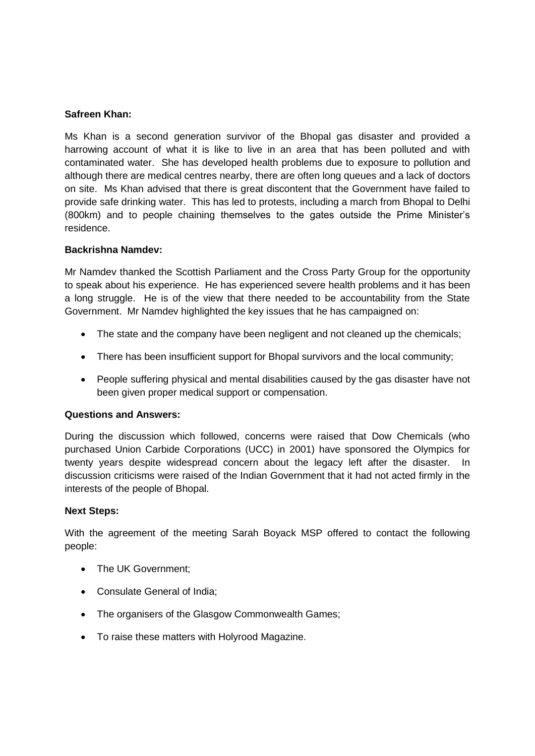#### **Safreen Khan:**

Ms Khan is a second generation survivor of the Bhopal gas disaster and provided a harrowing account of what it is like to live in an area that has been polluted and with contaminated water. She has developed health problems due to exposure to pollution and although there are medical centres nearby, there are often long queues and a lack of doctors on site. Ms Khan advised that there is great discontent that the Government have failed to provide safe drinking water. This has led to protests, including a march from Bhopal to Delhi (800km) and to people chaining themselves to the gates outside the Prime Minister's residence.

#### **Backrishna Namdev:**

Mr Namdev thanked the Scottish Parliament and the Cross Party Group for the opportunity to speak about his experience. He has experienced severe health problems and it has been a long struggle. He is of the view that there needed to be accountability from the State Government. Mr Namdey highlighted the key issues that he has campaigned on:

- The state and the company have been negligent and not cleaned up the chemicals;
- There has been insufficient support for Bhopal survivors and the local community;
- People suffering physical and mental disabilities caused by the gas disaster have not been given proper medical support or compensation.

#### **Questions and Answers:**

During the discussion which followed, concerns were raised that Dow Chemicals (who purchased Union Carbide Corporations (UCC) in 2001) have sponsored the Olympics for twenty years despite widespread concern about the legacy left after the disaster. In discussion criticisms were raised of the Indian Government that it had not acted firmly in the interests of the people of Bhopal.

#### **Next Steps:**

With the agreement of the meeting Sarah Boyack MSP offered to contact the following people:

- The UK Government;
- Consulate General of India;
- The organisers of the Glasgow Commonwealth Games:
- To raise these matters with Holyrood Magazine.